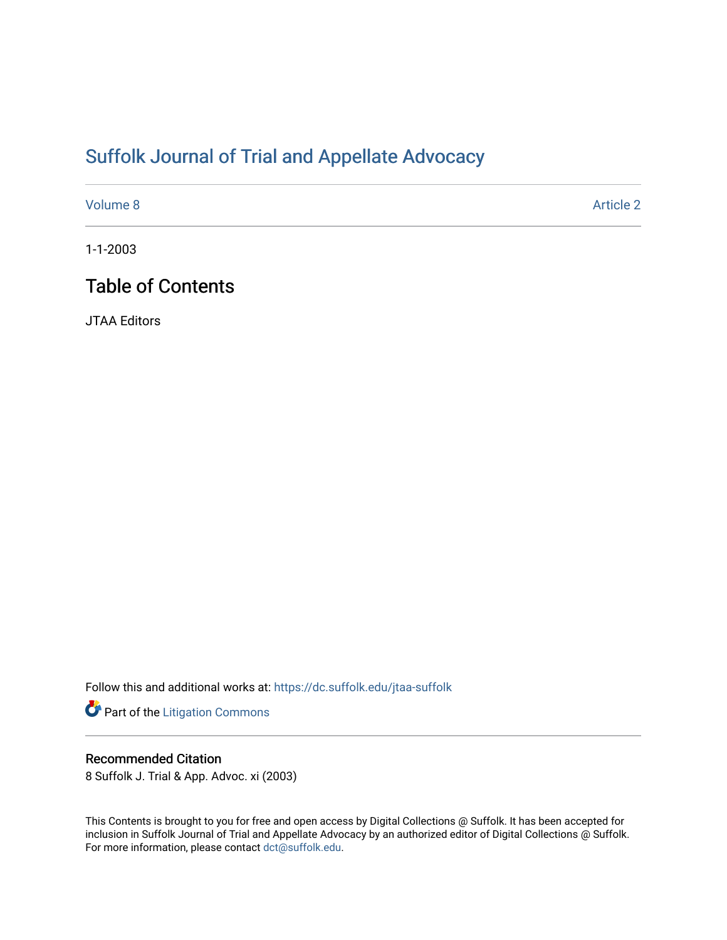# [Suffolk Journal of Trial and Appellate Advocacy](https://dc.suffolk.edu/jtaa-suffolk)

[Volume 8](https://dc.suffolk.edu/jtaa-suffolk/vol8) Article 2

1-1-2003

# Table of Contents

JTAA Editors

Follow this and additional works at: [https://dc.suffolk.edu/jtaa-suffolk](https://dc.suffolk.edu/jtaa-suffolk?utm_source=dc.suffolk.edu%2Fjtaa-suffolk%2Fvol8%2Fiss1%2F2&utm_medium=PDF&utm_campaign=PDFCoverPages) 

Part of the [Litigation Commons](http://network.bepress.com/hgg/discipline/910?utm_source=dc.suffolk.edu%2Fjtaa-suffolk%2Fvol8%2Fiss1%2F2&utm_medium=PDF&utm_campaign=PDFCoverPages)

### Recommended Citation

8 Suffolk J. Trial & App. Advoc. xi (2003)

This Contents is brought to you for free and open access by Digital Collections @ Suffolk. It has been accepted for inclusion in Suffolk Journal of Trial and Appellate Advocacy by an authorized editor of Digital Collections @ Suffolk. For more information, please contact [dct@suffolk.edu](mailto:dct@suffolk.edu).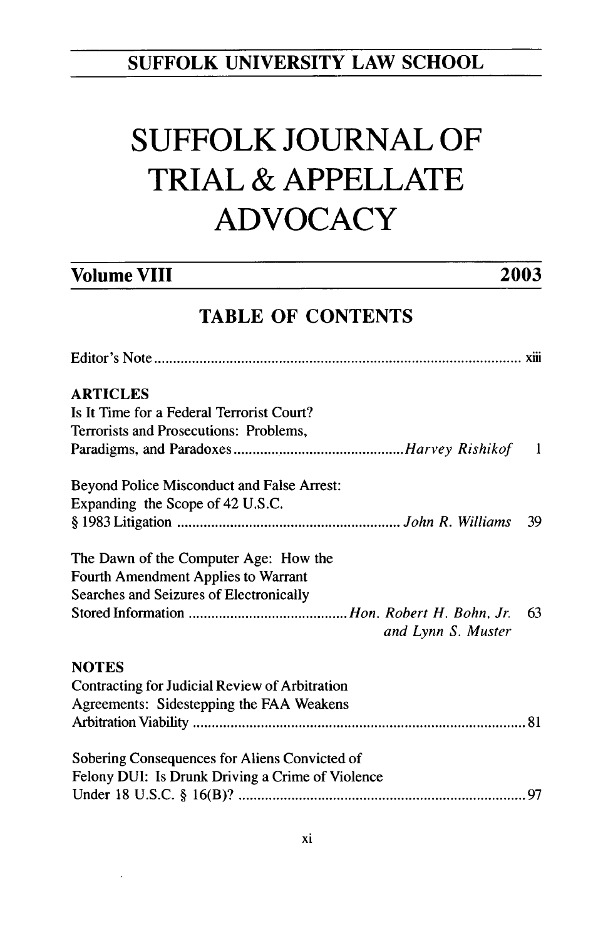## **SUFFOLK UNIVERSITY LAW SCHOOL**

# **SUFFOLK JOURNAL OF TRIAL & APPELLATE ADVOCACY**

## **Volume VIII 2003**

## **TABLE OF CONTENTS**

| <b>ARTICLES</b>                                       |    |
|-------------------------------------------------------|----|
| Is It Time for a Federal Terrorist Court?             |    |
| Terrorists and Prosecutions: Problems,                |    |
|                                                       |    |
| Beyond Police Misconduct and False Arrest:            |    |
| Expanding the Scope of 42 U.S.C.                      |    |
|                                                       | 39 |
| The Dawn of the Computer Age: How the                 |    |
| Fourth Amendment Applies to Warrant                   |    |
| Searches and Seizures of Electronically               |    |
| and Lynn S. Muster                                    | 63 |
| <b>NOTES</b>                                          |    |
| <b>Contracting for Judicial Review of Arbitration</b> |    |
| Agreements: Sidestepping the FAA Weakens              |    |
|                                                       |    |
| Sobering Consequences for Aliens Convicted of         |    |
| Felony DUI: Is Drunk Driving a Crime of Violence      |    |
|                                                       |    |
|                                                       |    |